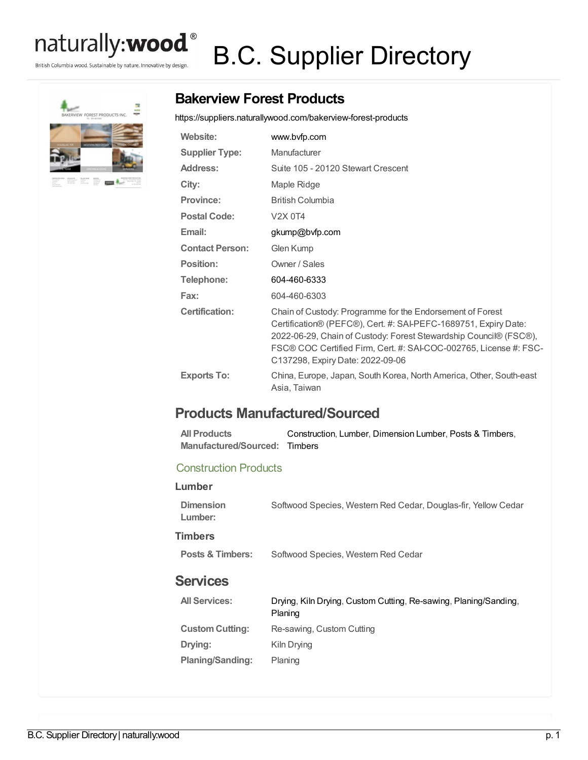## naturally:**wood**®

British Columbia wood. Sustainable by nature. Innovative by design.

# B.C. Supplier Directory



## **Bakerview Forest Products**

<https://suppliers.naturallywood.com/bakerview-forest-products>

| Website:               | www.bvfp.com                                                                                                                                                                                                                                                                                               |
|------------------------|------------------------------------------------------------------------------------------------------------------------------------------------------------------------------------------------------------------------------------------------------------------------------------------------------------|
| <b>Supplier Type:</b>  | Manufacturer                                                                                                                                                                                                                                                                                               |
| <b>Address:</b>        | Suite 105 - 20120 Stewart Crescent                                                                                                                                                                                                                                                                         |
| City:                  | Maple Ridge                                                                                                                                                                                                                                                                                                |
| <b>Province:</b>       | <b>British Columbia</b>                                                                                                                                                                                                                                                                                    |
| <b>Postal Code:</b>    | V <sub>2</sub> X 0T <sub>4</sub>                                                                                                                                                                                                                                                                           |
| Email:                 | gkump@bvfp.com                                                                                                                                                                                                                                                                                             |
| <b>Contact Person:</b> | Glen Kump                                                                                                                                                                                                                                                                                                  |
| Position:              | Owner / Sales                                                                                                                                                                                                                                                                                              |
| Telephone:             | 604-460-6333                                                                                                                                                                                                                                                                                               |
| Fax:                   | 604-460-6303                                                                                                                                                                                                                                                                                               |
| <b>Certification:</b>  | Chain of Custody: Programme for the Endorsement of Forest<br>Certification® (PEFC®), Cert. #: SAI-PEFC-1689751, Expiry Date:<br>2022-06-29, Chain of Custody: Forest Stewardship Council® (FSC®),<br>FSC® COC Certified Firm, Cert. #: SAI-COC-002765, License #: FSC-<br>C137298, Expiry Date: 2022-09-06 |
| <b>Exports To:</b>     | China, Europe, Japan, South Korea, North America, Other, South-east<br>Asia, Taiwan                                                                                                                                                                                                                        |

### **Products Manufactured/Sourced**

| All Products                  | Construction, Lumber, Dimension Lumber, Posts & Timbers. |
|-------------------------------|----------------------------------------------------------|
| Manufactured/Sourced: Timbers |                                                          |

#### Construction Products

| Lumber                      |                                                                             |
|-----------------------------|-----------------------------------------------------------------------------|
| <b>Dimension</b><br>Lumber: | Softwood Species, Western Red Cedar, Douglas-fir, Yellow Cedar              |
| <b>Timbers</b>              |                                                                             |
| Posts & Timbers:            | Softwood Species, Western Red Cedar                                         |
| <b>Services</b>             |                                                                             |
| <b>All Services:</b>        | Drying, Kiln Drying, Custom Cutting, Re-sawing, Planing/Sanding,<br>Planing |
| <b>Custom Cutting:</b>      | Re-sawing, Custom Cutting                                                   |
| Drying:                     | Kiln Drying                                                                 |
| Planing/Sanding:            | Planing                                                                     |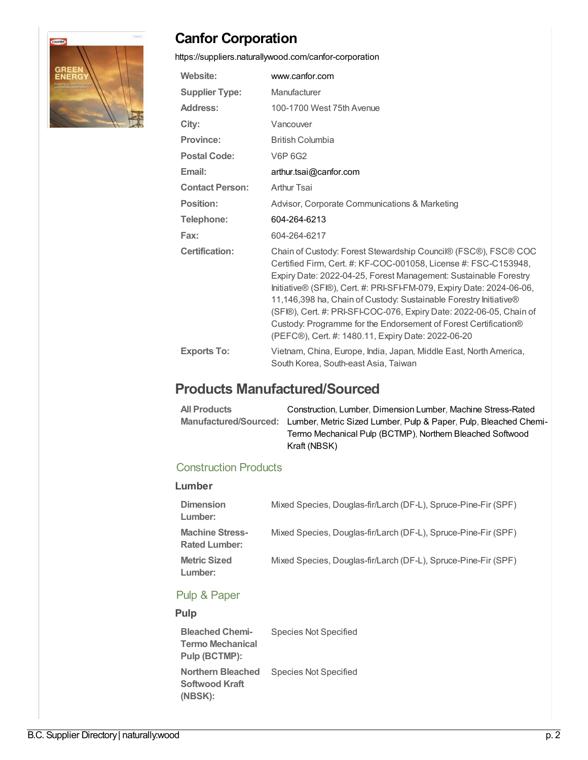

## **Canfor Corporation**

<https://suppliers.naturallywood.com/canfor-corporation>

| Website:               | www.canfor.com                                                                                                                                                                                                                                                                                                                                                                                                                                                                                                                                      |
|------------------------|-----------------------------------------------------------------------------------------------------------------------------------------------------------------------------------------------------------------------------------------------------------------------------------------------------------------------------------------------------------------------------------------------------------------------------------------------------------------------------------------------------------------------------------------------------|
| <b>Supplier Type:</b>  | Manufacturer                                                                                                                                                                                                                                                                                                                                                                                                                                                                                                                                        |
| <b>Address:</b>        | 100-1700 West 75th Avenue                                                                                                                                                                                                                                                                                                                                                                                                                                                                                                                           |
| City:                  | Vancouver                                                                                                                                                                                                                                                                                                                                                                                                                                                                                                                                           |
| Province:              | <b>British Columbia</b>                                                                                                                                                                                                                                                                                                                                                                                                                                                                                                                             |
| <b>Postal Code:</b>    | V6P 6G2                                                                                                                                                                                                                                                                                                                                                                                                                                                                                                                                             |
| Email:                 | arthur.tsai@canfor.com                                                                                                                                                                                                                                                                                                                                                                                                                                                                                                                              |
| <b>Contact Person:</b> | Arthur Tsai                                                                                                                                                                                                                                                                                                                                                                                                                                                                                                                                         |
| Position:              | Advisor, Corporate Communications & Marketing                                                                                                                                                                                                                                                                                                                                                                                                                                                                                                       |
| Telephone:             | 604-264-6213                                                                                                                                                                                                                                                                                                                                                                                                                                                                                                                                        |
| Fax:                   | 604-264-6217                                                                                                                                                                                                                                                                                                                                                                                                                                                                                                                                        |
| <b>Certification:</b>  | Chain of Custody: Forest Stewardship Council® (FSC®), FSC® COC<br>Certified Firm, Cert. #: KF-COC-001058, License #: FSC-C153948,<br>Expiry Date: 2022-04-25, Forest Management: Sustainable Forestry<br>Initiative® (SFI®), Cert. #: PRI-SFI-FM-079, Expiry Date: 2024-06-06,<br>11,146,398 ha, Chain of Custody: Sustainable Forestry Initiative®<br>(SFI®), Cert. #: PRI-SFI-COC-076, Expiry Date: 2022-06-05, Chain of<br>Custody: Programme for the Endorsement of Forest Certification®<br>(PEFC®), Cert. #: 1480.11, Expiry Date: 2022-06-20 |
| <b>Exports To:</b>     | Vietnam, China, Europe, India, Japan, Middle East, North America,<br>South Korea, South-east Asia, Taiwan                                                                                                                                                                                                                                                                                                                                                                                                                                           |

## **Products Manufactured/Sourced**

| <b>All Products</b> | Construction, Lumber, Dimension Lumber, Machine Stress-Rated                           |
|---------------------|----------------------------------------------------------------------------------------|
|                     | Manufactured/Sourced: Lumber, Metric Sized Lumber, Pulp & Paper, Pulp, Bleached Chemi- |
|                     | Termo Mechanical Pulp (BCTMP), Northern Bleached Softwood                              |
|                     | Kraft (NBSK)                                                                           |

#### Construction Products

| ۰.<br>×<br>×<br>v |
|-------------------|
|-------------------|

| <b>Dimension</b><br>Lumber:                    | Mixed Species, Douglas-fir/Larch (DF-L), Spruce-Pine-Fir (SPF) |
|------------------------------------------------|----------------------------------------------------------------|
| <b>Machine Stress-</b><br><b>Rated Lumber:</b> | Mixed Species, Douglas-fir/Larch (DF-L), Spruce-Pine-Fir (SPF) |
| <b>Metric Sized</b><br>Lumber:                 | Mixed Species, Douglas-fir/Larch (DF-L), Spruce-Pine-Fir (SPF) |

#### Pulp & Paper

#### **Pulp**

| <b>Bleached Chemi-</b>   | <b>Species Not Specified</b> |
|--------------------------|------------------------------|
| <b>Termo Mechanical</b>  |                              |
| Pulp (BCTMP):            |                              |
|                          |                              |
| <b>Northern Bleached</b> | Species Not Specified        |
| Softwood Kraft           |                              |